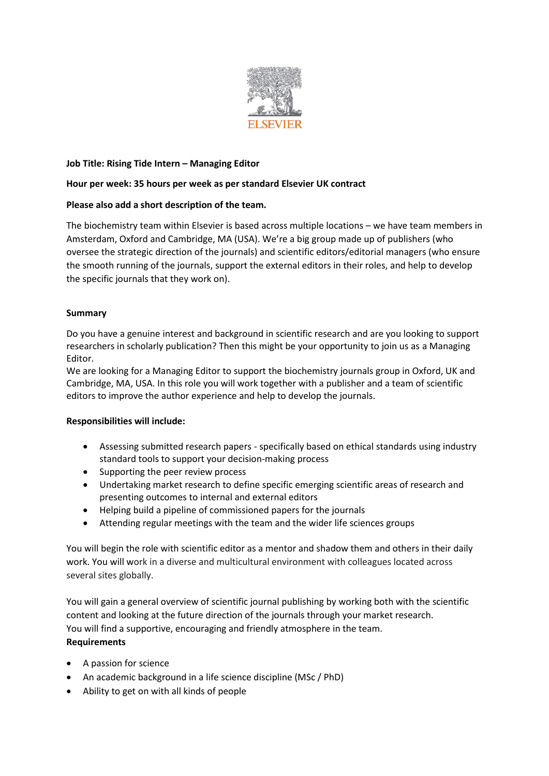

## **Job Title: Rising Tide Intern – Managing Editor**

### **Hour per week: 35 hours per week as per standard Elsevier UK contract**

### **Please also add a short description of the team.**

The biochemistry team within Elsevier is based across multiple locations – we have team members in Amsterdam, Oxford and Cambridge, MA (USA). We're a big group made up of publishers (who oversee the strategic direction of the journals) and scientific editors/editorial managers (who ensure the smooth running of the journals, support the external editors in their roles, and help to develop the specific journals that they work on).

### **Summary**

Do you have a genuine interest and background in scientific research and are you looking to support researchers in scholarly publication? Then this might be your opportunity to join us as a Managing Editor.

We are looking for a Managing Editor to support the biochemistry journals group in Oxford, UK and Cambridge, MA, USA. In this role you will work together with a publisher and a team of scientific editors to improve the author experience and help to develop the journals.

#### **Responsibilities will include:**

- Assessing submitted research papers specifically based on ethical standards using industry standard tools to support your decision-making process
- Supporting the peer review process
- Undertaking market research to define specific emerging scientific areas of research and presenting outcomes to internal and external editors
- Helping build a pipeline of commissioned papers for the journals
- Attending regular meetings with the team and the wider life sciences groups

You will begin the role with scientific editor as a mentor and shadow them and others in their daily work. You will work in a diverse and multicultural environment with colleagues located across several sites globally.

You will gain a general overview of scientific journal publishing by working both with the scientific content and looking at the future direction of the journals through your market research. You will find a supportive, encouraging and friendly atmosphere in the team. **Requirements**

# • A passion for science

- An academic background in a life science discipline (MSc / PhD)
- Ability to get on with all kinds of people